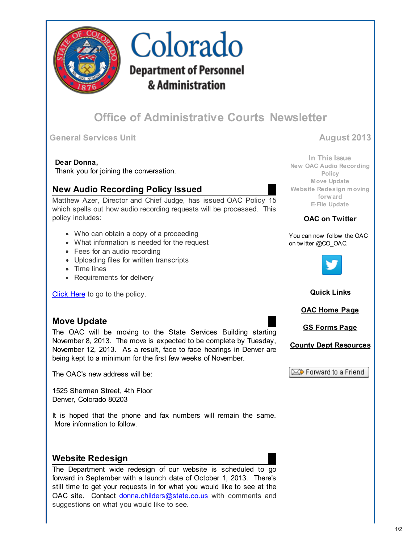

# Colorado **Department of Personnel** & Administration

# Office of Administrative Courts Newsletter

### General Services Unit August 2013

#### Dear Donna,

Thank you for joining the conversation.

# New Audio Recording Policy Issued

Matthew Azer, Director and Chief Judge, has issued OAC Policy 15 which spells out how audio recording requests will be processed. This policy includes:

- Who can obtain a copy of a proceeding
- What information is needed for the request
- Fees for an audio recording
- Uploading files for written transcripts
- Time lines
- Requirements for delivery

[Click Here](http://r20.rs6.net/tn.jsp?e=001UATWGhZJ4E6iR6wukjTXncxsgPzywHEnQzT2N1rJP9eWIbndKr_lvzH_KNPk-8CBYvwbKgk9sifuJHLQCpV_R-V3AL9DzuNdBHcp_H4UnEUfaBoLJz4WbhMMhe0RF0Vk1-7jKfWX48I5jiMkXeqQ4At0u7wfzX8oV9fiHlIc1bkfdMVKs1DIow==) to go to the policy.

## Move Update

The OAC will be moving to the State Services Building starting November 8, 2013. The move is expected to be complete by Tuesday, November 12, 2013. As a result, face to face hearings in Denver are being kept to a minimum for the first few weeks of November.

The OAC's new address will be:

1525 Sherman Street, 4th Floor Denver, Colorado 80203

It is hoped that the phone and fax numbers will remain the same. More information to follow.

# Website Redesign

The Department wide redesign of our website is scheduled to go forward in September with a launch date of October 1, 2013. There's still time to get your requests in for what you would like to see at the OAC site. Contact [donna.childers@state.co.us](mailto:donna.childers@state.co.us) with comments and suggestions on what you would like to see.

In This Issue [New OAC Audio Recording](https://ui.constantcontact.com/visualeditor/visual_editor_preview.jsp?agent.uid=1114670229530&format=html&printFrame=true#LETTER.BLOCK6) Policy [Move Update](https://ui.constantcontact.com/visualeditor/visual_editor_preview.jsp?agent.uid=1114670229530&format=html&printFrame=true#LETTER.BLOCK5) [Website Redesign moving](https://ui.constantcontact.com/visualeditor/visual_editor_preview.jsp?agent.uid=1114670229530&format=html&printFrame=true#LETTER.BLOCK22) forward [E-File Update](https://ui.constantcontact.com/visualeditor/visual_editor_preview.jsp?agent.uid=1114670229530&format=html&printFrame=true#LETTER.BLOCK21)

#### OAC on Twitter

You can now follow the OAC on tw itter @CO\_OAC.



#### Quick Links

[OAC Home Page](http://r20.rs6.net/tn.jsp?e=001UATWGhZJ4E6iR6wukjTXncxsgPzywHEnQzT2N1rJP9eWIbndKr_lvzH_KNPk-8CBYvwbKgk9sifuJHLQCpV_R-V3AL9DzuNdBHcp_H4UnEXmxJ0uM_j_ZldhCl5OLrVF)

[GS Forms Page](http://r20.rs6.net/tn.jsp?e=001UATWGhZJ4E6iR6wukjTXncxsgPzywHEnQzT2N1rJP9eWIbndKr_lvzH_KNPk-8CBYvwbKgk9sifuJHLQCpV_R-V3AL9DzuNdBHcp_H4UnEUfaBoLJz4WbhMMhe0RF0VkqfRmGC3Z4yK0wbdMYGN0Kkx6I83bX-g6aYxAXKghcamoNXdgv-Hwm5v-IFYmeN3ezILZoncbffiGpgd07sfga2OIKtUFk7nTzKs9mxmA5EuOP0dYmfHTxuq34NdC9srt96NBNh3YV4g=)

[County Dept Resources](http://r20.rs6.net/tn.jsp?e=001UATWGhZJ4E6iR6wukjTXncxsgPzywHEnQzT2N1rJP9eWIbndKr_lvzH_KNPk-8CBYvwbKgk9sifuJHLQCpV_R-V3AL9DzuNdBHcp_H4UnEUfaBoLJz4WbhMMhe0RF0Vk1-7jKfWX48I5jiMkXeqQ4At0u7wfzX8oh7i9tP2MIbqkyIeqaBD3VA==)

 $\boxtimes$  Forward to a Friend